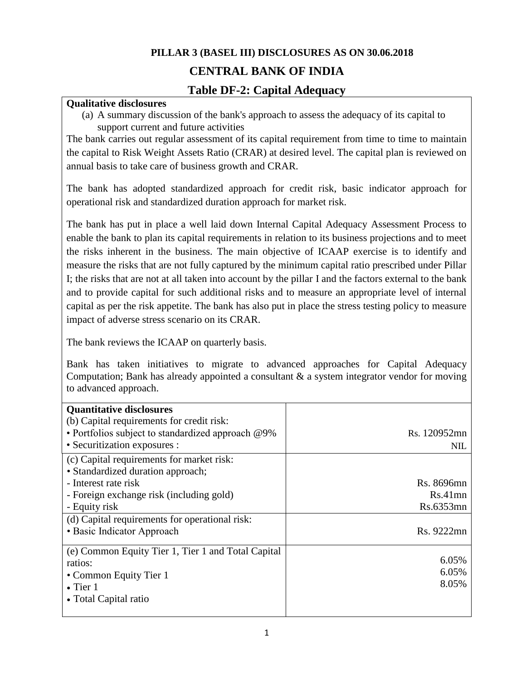# **PILLAR 3 (BASEL III) DISCLOSURES AS ON 30.06.2018**

# **CENTRAL BANK OF INDIA**

# **Table DF-2: Capital Adequacy**

#### **Qualitative disclosures**

(a) A summary discussion of the bank's approach to assess the adequacy of its capital to support current and future activities

The bank carries out regular assessment of its capital requirement from time to time to maintain the capital to Risk Weight Assets Ratio (CRAR) at desired level. The capital plan is reviewed on annual basis to take care of business growth and CRAR.

The bank has adopted standardized approach for credit risk, basic indicator approach for operational risk and standardized duration approach for market risk.

The bank has put in place a well laid down Internal Capital Adequacy Assessment Process to enable the bank to plan its capital requirements in relation to its business projections and to meet the risks inherent in the business. The main objective of ICAAP exercise is to identify and measure the risks that are not fully captured by the minimum capital ratio prescribed under Pillar I; the risks that are not at all taken into account by the pillar I and the factors external to the bank and to provide capital for such additional risks and to measure an appropriate level of internal capital as per the risk appetite. The bank has also put in place the stress testing policy to measure impact of adverse stress scenario on its CRAR.

The bank reviews the ICAAP on quarterly basis.

Bank has taken initiatives to migrate to advanced approaches for Capital Adequacy Computation; Bank has already appointed a consultant & a system integrator vendor for moving to advanced approach.

| <b>Quantitative disclosures</b><br>(b) Capital requirements for credit risk:   |              |
|--------------------------------------------------------------------------------|--------------|
| • Portfolios subject to standardized approach @9%                              | Rs. 120952mn |
| • Securitization exposures :                                                   | <b>NIL</b>   |
| (c) Capital requirements for market risk:<br>• Standardized duration approach; |              |
| - Interest rate risk                                                           | Rs. 8696mn   |
| - Foreign exchange risk (including gold)                                       | $Rs.41$ mn   |
| - Equity risk                                                                  | Rs.6353mn    |
| (d) Capital requirements for operational risk:                                 |              |
| • Basic Indicator Approach                                                     | Rs. 9222mn   |
| (e) Common Equity Tier 1, Tier 1 and Total Capital                             |              |
| ratios:                                                                        | 6.05%        |
| • Common Equity Tier 1                                                         | 6.05%        |
| $\bullet$ Tier 1                                                               | 8.05%        |
| • Total Capital ratio                                                          |              |
|                                                                                |              |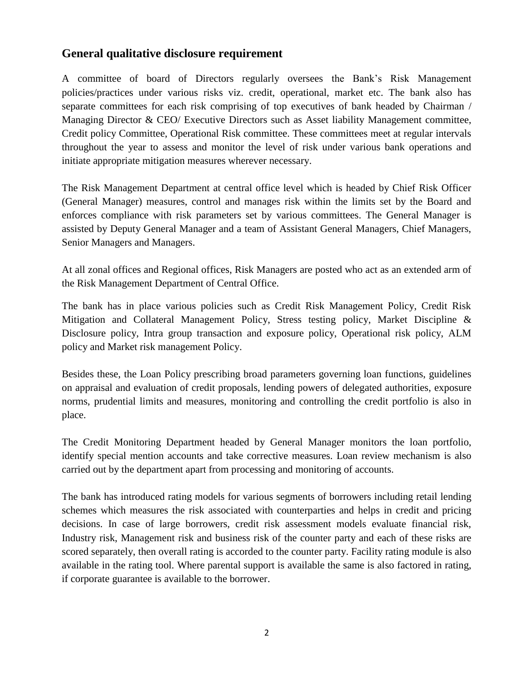# **General qualitative disclosure requirement**

A committee of board of Directors regularly oversees the Bank's Risk Management policies/practices under various risks viz. credit, operational, market etc. The bank also has separate committees for each risk comprising of top executives of bank headed by Chairman / Managing Director & CEO/ Executive Directors such as Asset liability Management committee, Credit policy Committee, Operational Risk committee. These committees meet at regular intervals throughout the year to assess and monitor the level of risk under various bank operations and initiate appropriate mitigation measures wherever necessary.

The Risk Management Department at central office level which is headed by Chief Risk Officer (General Manager) measures, control and manages risk within the limits set by the Board and enforces compliance with risk parameters set by various committees. The General Manager is assisted by Deputy General Manager and a team of Assistant General Managers, Chief Managers, Senior Managers and Managers.

At all zonal offices and Regional offices, Risk Managers are posted who act as an extended arm of the Risk Management Department of Central Office.

The bank has in place various policies such as Credit Risk Management Policy, Credit Risk Mitigation and Collateral Management Policy, Stress testing policy, Market Discipline & Disclosure policy, Intra group transaction and exposure policy, Operational risk policy, ALM policy and Market risk management Policy.

Besides these, the Loan Policy prescribing broad parameters governing loan functions, guidelines on appraisal and evaluation of credit proposals, lending powers of delegated authorities, exposure norms, prudential limits and measures, monitoring and controlling the credit portfolio is also in place.

The Credit Monitoring Department headed by General Manager monitors the loan portfolio, identify special mention accounts and take corrective measures. Loan review mechanism is also carried out by the department apart from processing and monitoring of accounts.

The bank has introduced rating models for various segments of borrowers including retail lending schemes which measures the risk associated with counterparties and helps in credit and pricing decisions. In case of large borrowers, credit risk assessment models evaluate financial risk, Industry risk, Management risk and business risk of the counter party and each of these risks are scored separately, then overall rating is accorded to the counter party. Facility rating module is also available in the rating tool. Where parental support is available the same is also factored in rating, if corporate guarantee is available to the borrower.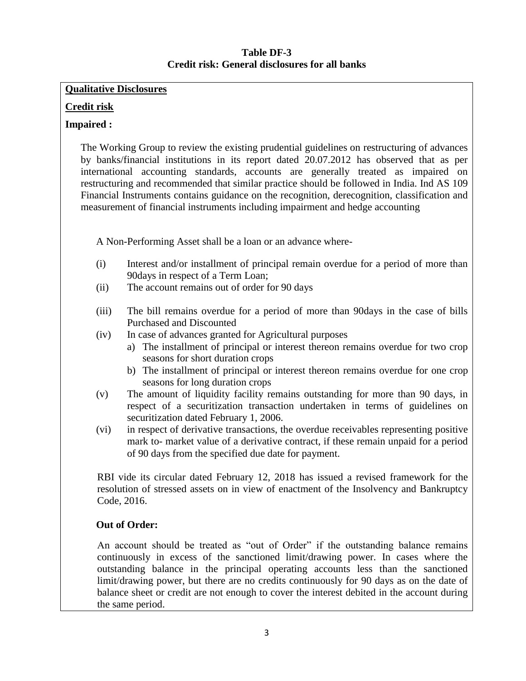#### **Table DF-3 Credit risk: General disclosures for all banks**

#### **Qualitative Disclosures**

#### **Credit risk**

#### **Impaired :**

The Working Group to review the existing prudential guidelines on restructuring of advances by banks/financial institutions in its report dated 20.07.2012 has observed that as per international accounting standards, accounts are generally treated as impaired on restructuring and recommended that similar practice should be followed in India. Ind AS 109 Financial Instruments contains guidance on the recognition, derecognition, classification and measurement of financial instruments including impairment and hedge accounting

A Non-Performing Asset shall be a loan or an advance where-

- (i) Interest and/or installment of principal remain overdue for a period of more than 90days in respect of a Term Loan;
- (ii) The account remains out of order for 90 days
- (iii) The bill remains overdue for a period of more than 90days in the case of bills Purchased and Discounted
- (iv) In case of advances granted for Agricultural purposes
	- a) The installment of principal or interest thereon remains overdue for two crop seasons for short duration crops
	- b) The installment of principal or interest thereon remains overdue for one crop seasons for long duration crops
- (v) The amount of liquidity facility remains outstanding for more than 90 days, in respect of a securitization transaction undertaken in terms of guidelines on securitization dated February 1, 2006.
- (vi) in respect of derivative transactions, the overdue receivables representing positive mark to- market value of a derivative contract, if these remain unpaid for a period of 90 days from the specified due date for payment.

RBI vide its circular dated February 12, 2018 has issued a revised framework for the resolution of stressed assets on in view of enactment of the Insolvency and Bankruptcy Code, 2016.

### **Out of Order:**

An account should be treated as "out of Order" if the outstanding balance remains continuously in excess of the sanctioned limit/drawing power. In cases where the outstanding balance in the principal operating accounts less than the sanctioned limit/drawing power, but there are no credits continuously for 90 days as on the date of balance sheet or credit are not enough to cover the interest debited in the account during the same period.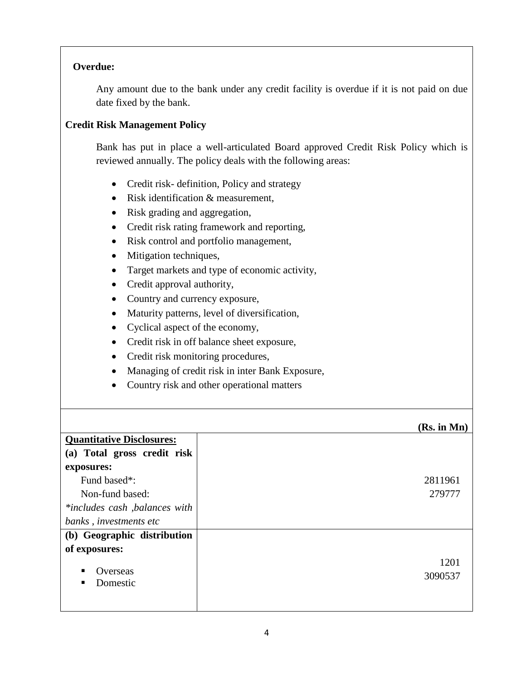#### **Overdue:**

Any amount due to the bank under any credit facility is overdue if it is not paid on due date fixed by the bank.

#### **Credit Risk Management Policy**

Bank has put in place a well-articulated Board approved Credit Risk Policy which is reviewed annually. The policy deals with the following areas:

- Credit risk- definition, Policy and strategy
- Risk identification & measurement,
- Risk grading and aggregation,
- Credit risk rating framework and reporting,
- Risk control and portfolio management,
- Mitigation techniques,
- Target markets and type of economic activity,
- Credit approval authority,
- Country and currency exposure,
- Maturity patterns, level of diversification,
- Cyclical aspect of the economy,
- Credit risk in off balance sheet exposure,
- Credit risk monitoring procedures,
- Managing of credit risk in inter Bank Exposure,
- Country risk and other operational matters

#### **(Rs. in Mn) Quantitative Disclosures: (a) Total gross credit risk exposures:**  Fund based\*: Non-fund based: *\*includes cash ,balances with banks , investments etc* 2811961 279777 **(b) Geographic distribution of exposures: Overseas**  Domestic 1201 3090537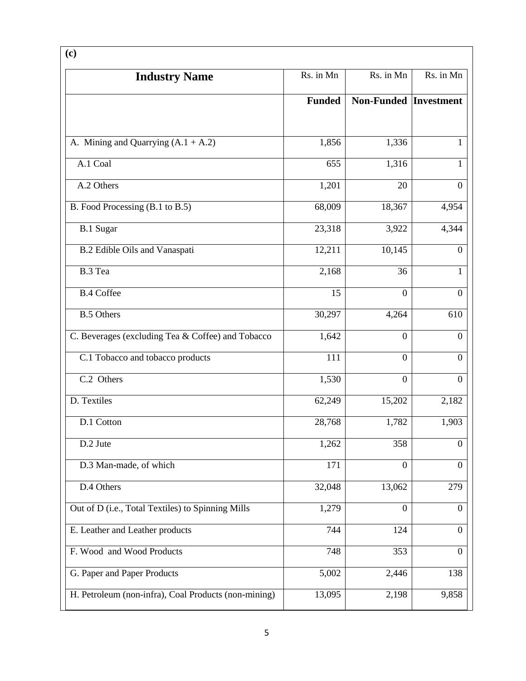| (c)                                                  |               |                              |                  |
|------------------------------------------------------|---------------|------------------------------|------------------|
| <b>Industry Name</b>                                 | Rs. in Mn     | Rs. in Mn                    | Rs. in Mn        |
|                                                      | <b>Funded</b> | <b>Non-Funded Investment</b> |                  |
| A. Mining and Quarrying $(A.1 + A.2)$                | 1,856         | 1,336                        | 1                |
| A.1 Coal                                             | 655           | 1,316                        | 1                |
| A.2 Others                                           | 1,201         | 20                           | $\overline{0}$   |
| B. Food Processing (B.1 to B.5)                      | 68,009        | 18,367                       | 4,954            |
| <b>B.1 Sugar</b>                                     | 23,318        | 3,922                        | 4,344            |
| B.2 Edible Oils and Vanaspati                        | 12,211        | 10,145                       | $\mathbf{0}$     |
| B.3 Tea                                              | 2,168         | 36                           | 1                |
| <b>B.4 Coffee</b>                                    | 15            | $\mathbf{0}$                 | $\boldsymbol{0}$ |
| <b>B.5 Others</b>                                    | 30,297        | 4,264                        | 610              |
| C. Beverages (excluding Tea & Coffee) and Tobacco    | 1,642         | $\boldsymbol{0}$             | $\boldsymbol{0}$ |
| C.1 Tobacco and tobacco products                     | 111           | $\mathbf{0}$                 | $\mathbf{0}$     |
| C.2 Others                                           | 1,530         | $\mathbf{0}$                 | $\theta$         |
| D. Textiles                                          | 62,249        | 15,202                       | 2,182            |
| D.1 Cotton                                           | 28,768        | 1,782                        | 1,903            |
| D.2 Jute                                             | 1,262         | 358                          | $\boldsymbol{0}$ |
| D.3 Man-made, of which                               | 171           | $\boldsymbol{0}$             | $\boldsymbol{0}$ |
| D.4 Others                                           | 32,048        | 13,062                       | 279              |
| Out of D (i.e., Total Textiles) to Spinning Mills    | 1,279         | $\boldsymbol{0}$             | $\overline{0}$   |
| E. Leather and Leather products                      | 744           | 124                          | $\theta$         |
| F. Wood and Wood Products                            | 748           | 353                          | $\boldsymbol{0}$ |
| G. Paper and Paper Products                          | 5,002         | 2,446                        | 138              |
| H. Petroleum (non-infra), Coal Products (non-mining) | 13,095        | 2,198                        | 9,858            |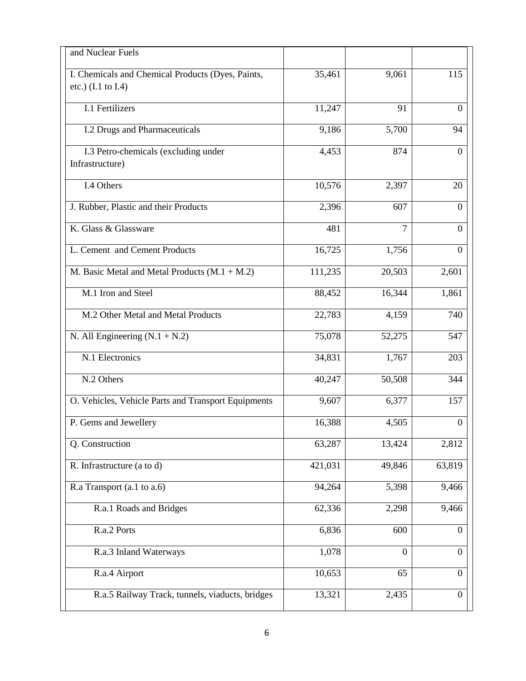| and Nuclear Fuels                                                                  |         |                |                  |
|------------------------------------------------------------------------------------|---------|----------------|------------------|
| I. Chemicals and Chemical Products (Dyes, Paints,<br>etc.) $(I.1 \text{ to } I.4)$ | 35,461  | 9,061          | 115              |
| I.1 Fertilizers                                                                    | 11,247  | 91             | $\theta$         |
| I.2 Drugs and Pharmaceuticals                                                      | 9,186   | 5,700          | 94               |
| I.3 Petro-chemicals (excluding under<br>Infrastructure)                            | 4,453   | 874            | $\mathbf{0}$     |
| I.4 Others                                                                         | 10,576  | 2,397          | 20               |
| J. Rubber, Plastic and their Products                                              | 2,396   | 607            | $\Omega$         |
| K. Glass & Glassware                                                               | 481     | $\overline{7}$ | $\theta$         |
| L. Cement and Cement Products                                                      | 16,725  | 1,756          | $\Omega$         |
| M. Basic Metal and Metal Products $(M.1 + M.2)$                                    | 111,235 | 20,503         | 2,601            |
| M.1 Iron and Steel                                                                 | 88,452  | 16,344         | 1,861            |
| M.2 Other Metal and Metal Products                                                 | 22,783  | 4,159          | 740              |
| N. All Engineering $(N.1 + N.2)$                                                   | 75,078  | 52,275         | 547              |
| N.1 Electronics                                                                    | 34,831  | 1,767          | 203              |
| N.2 Others                                                                         | 40,247  | 50,508         | 344              |
| O. Vehicles, Vehicle Parts and Transport Equipments                                | 9,607   | 6,377          | 157              |
| P. Gems and Jewellery                                                              | 16,388  | 4,505          | $\boldsymbol{0}$ |
| Q. Construction                                                                    | 63,287  | 13,424         | 2,812            |
| R. Infrastructure (a to d)                                                         | 421,031 | 49,846         | 63,819           |
| R.a Transport (a.1 to a.6)                                                         | 94,264  | 5,398          | 9,466            |
| R.a.1 Roads and Bridges                                                            | 62,336  | 2,298          | 9,466            |
| R.a.2 Ports                                                                        | 6,836   | 600            | $\boldsymbol{0}$ |
| R.a.3 Inland Waterways                                                             | 1,078   | $\Omega$       | $\overline{0}$   |
| R.a.4 Airport                                                                      | 10,653  | 65             | $\theta$         |
| R.a.5 Railway Track, tunnels, viaducts, bridges                                    | 13,321  | 2,435          | $\mathbf{0}$     |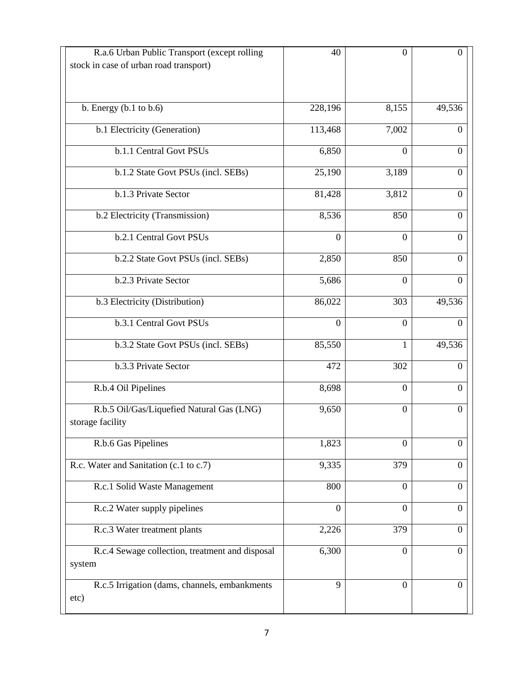| 228,196<br>113,468 | 8,155          | 49,536           |
|--------------------|----------------|------------------|
|                    |                |                  |
|                    |                |                  |
|                    |                |                  |
|                    | 7,002          | $\mathbf{0}$     |
| 6,850              | $\mathbf{0}$   | $\Omega$         |
| 25,190             | 3,189          | $\Omega$         |
| 81,428             | 3,812          | $\theta$         |
| 8,536              | 850            | $\Omega$         |
| $\theta$           | $\theta$       | $\theta$         |
| 2,850              | 850            | $\Omega$         |
| 5,686              | $\theta$       | $\Omega$         |
| 86,022             | 303            | 49,536           |
| $\boldsymbol{0}$   | $\mathbf{0}$   | $\boldsymbol{0}$ |
| 85,550             | 1              | 49,536           |
| 472                | 302            | $\boldsymbol{0}$ |
| 8,698              | $\theta$       | $\Omega$         |
| 9,650              | $\overline{0}$ | $\theta$         |
| 1,823              | $\mathbf{0}$   | $\overline{0}$   |
| 9,335              | 379            | $\theta$         |
| 800                | $\overline{0}$ | $\Omega$         |
| $\overline{0}$     | $\overline{0}$ | $\theta$         |
| 2,226              | 379            | $\boldsymbol{0}$ |
| 6,300              | $\mathbf{0}$   | $\overline{0}$   |
|                    |                |                  |
| 9                  | $\mathbf{0}$   | $\overline{0}$   |
|                    |                |                  |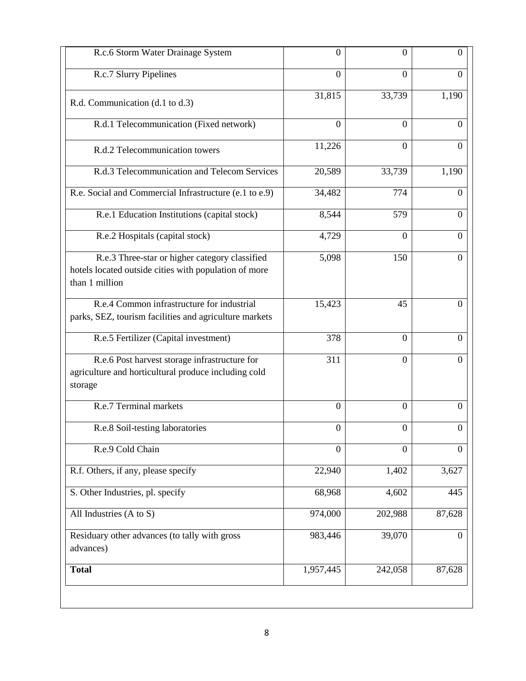| R.c.6 Storm Water Drainage System                                                                                         | $\overline{0}$   | $\overline{0}$ | $\theta$       |
|---------------------------------------------------------------------------------------------------------------------------|------------------|----------------|----------------|
| R.c.7 Slurry Pipelines                                                                                                    | $\overline{0}$   | $\overline{0}$ | $\theta$       |
| R.d. Communication (d.1 to d.3)                                                                                           | 31,815           | 33,739         | 1,190          |
| R.d.1 Telecommunication (Fixed network)                                                                                   | $\boldsymbol{0}$ | $\Omega$       | $\Omega$       |
| R.d.2 Telecommunication towers                                                                                            | 11,226           | $\overline{0}$ | $\theta$       |
| R.d.3 Telecommunication and Telecom Services                                                                              | 20,589           | 33,739         | 1,190          |
| R.e. Social and Commercial Infrastructure (e.1 to e.9)                                                                    | 34,482           | 774            | $\overline{0}$ |
| R.e.1 Education Institutions (capital stock)                                                                              | 8,544            | 579            | $\overline{0}$ |
| R.e.2 Hospitals (capital stock)                                                                                           | 4,729            | $\Omega$       | $\overline{0}$ |
| R.e.3 Three-star or higher category classified<br>hotels located outside cities with population of more<br>than 1 million | 5,098            | 150            | $\theta$       |
| R.e.4 Common infrastructure for industrial<br>parks, SEZ, tourism facilities and agriculture markets                      | 15,423           | 45             | $\Omega$       |
| R.e.5 Fertilizer (Capital investment)                                                                                     | 378              | $\overline{0}$ | $\Omega$       |
| R.e.6 Post harvest storage infrastructure for<br>agriculture and horticultural produce including cold<br>storage          | 311              | $\overline{0}$ | $\theta$       |
| R.e.7 Terminal markets                                                                                                    | $\boldsymbol{0}$ | $\overline{0}$ | $\mathbf{0}$   |
| R.e.8 Soil-testing laboratories                                                                                           | $\boldsymbol{0}$ | $\overline{0}$ | $\Omega$       |
| R.e.9 Cold Chain                                                                                                          | $\overline{0}$   | $\Omega$       | $\mathbf{0}$   |
| R.f. Others, if any, please specify                                                                                       | 22,940           | 1,402          | 3,627          |
| S. Other Industries, pl. specify                                                                                          | 68,968           | 4,602          | 445            |
| All Industries (A to S)                                                                                                   | 974,000          | 202,988        | 87,628         |
| Residuary other advances (to tally with gross<br>advances)                                                                | 983,446          | 39,070         | $\overline{0}$ |
| <b>Total</b>                                                                                                              | 1,957,445        | 242,058        | 87,628         |
|                                                                                                                           |                  |                |                |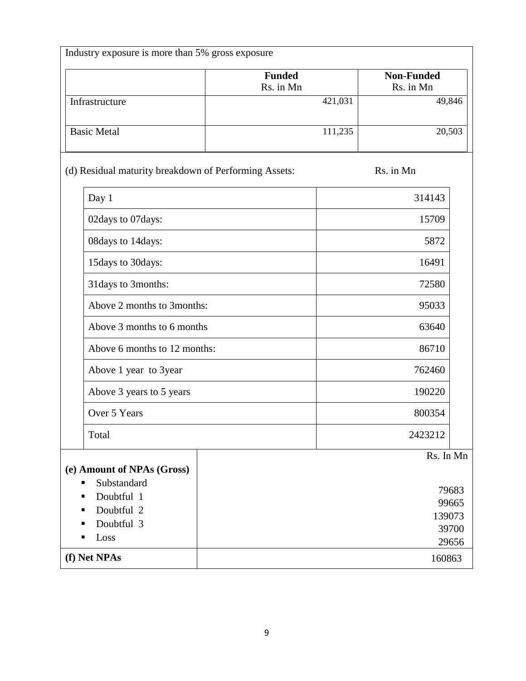| Industry exposure is more than 5% gross exposure                                  |                            |         |                                            |  |
|-----------------------------------------------------------------------------------|----------------------------|---------|--------------------------------------------|--|
|                                                                                   | <b>Funded</b><br>Rs. in Mn |         | <b>Non-Funded</b><br>Rs. in Mn             |  |
| Infrastructure                                                                    |                            | 421,031 | 49,846                                     |  |
| <b>Basic Metal</b>                                                                |                            | 111,235 | 20,503                                     |  |
| (d) Residual maturity breakdown of Performing Assets:                             |                            |         | Rs. in Mn                                  |  |
| Day 1                                                                             |                            |         | 314143                                     |  |
| 02days to 07days:                                                                 |                            |         | 15709                                      |  |
| 08days to 14days:                                                                 |                            |         | 5872                                       |  |
| 15days to 30days:                                                                 |                            |         | 16491                                      |  |
| 31 days to 3 months:                                                              |                            |         | 72580                                      |  |
| Above 2 months to 3 months:                                                       |                            |         | 95033                                      |  |
| Above 3 months to 6 months                                                        |                            |         | 63640                                      |  |
| Above 6 months to 12 months:                                                      |                            |         | 86710                                      |  |
| Above 1 year to 3year                                                             |                            |         | 762460                                     |  |
| Above 3 years to 5 years                                                          |                            |         | 190220                                     |  |
| Over 5 Years                                                                      |                            |         | 800354                                     |  |
| Total                                                                             |                            |         | 2423212                                    |  |
| (e) Amount of NPAs (Gross)                                                        |                            |         | Rs. In Mn                                  |  |
| Substandard<br>п<br>Doubtful 1<br>п<br>Doubtful 2<br>Doubtful 3<br>п<br>Loss<br>п |                            |         | 79683<br>99665<br>139073<br>39700<br>29656 |  |
| (f) Net NPAs                                                                      |                            |         | 160863                                     |  |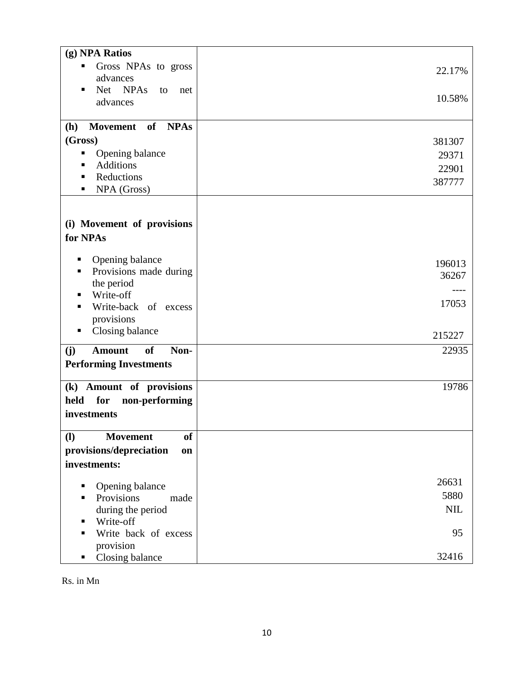| (g) NPA Ratios                                   |                 |
|--------------------------------------------------|-----------------|
| Gross NPAs to gross<br>п<br>advances             | 22.17%          |
| Net NPAs<br>to<br>п<br>net<br>advances           | 10.58%          |
| <b>NPAs</b><br>of<br>(h)<br>Movement             |                 |
| (Gross)                                          | 381307          |
| Opening balance<br>٠                             | 29371           |
| <b>Additions</b>                                 | 22901           |
| Reductions<br>п                                  | 387777          |
| NPA (Gross)<br>п                                 |                 |
|                                                  |                 |
| (i) Movement of provisions                       |                 |
| for NPAs                                         |                 |
| Opening balance<br>Е                             |                 |
| Provisions made during<br>п                      | 196013<br>36267 |
| the period                                       |                 |
| Write-off<br>п                                   |                 |
| Write-back of excess<br>п                        | 17053           |
| provisions<br>п                                  |                 |
| Closing balance                                  | 215227          |
| of<br><b>Amount</b><br>Non-<br>(j)               | 22935           |
| <b>Performing Investments</b>                    |                 |
| (k) Amount of provisions                         | 19786           |
| for<br>held<br>non-performing                    |                 |
| investments                                      |                 |
|                                                  |                 |
| <b>Movement</b><br>$\mathbf{I}$<br><sub>of</sub> |                 |
| provisions/depreciation<br>on                    |                 |
| investments:                                     |                 |
|                                                  | 26631           |
| Opening balance<br>п<br>Provisions<br>made<br>٠  | 5880            |
| during the period                                | <b>NIL</b>      |
| Write-off<br>п                                   |                 |
| Write back of excess<br>п                        | 95              |
| provision                                        |                 |
| Closing balance<br>п                             | 32416           |

Rs. in Mn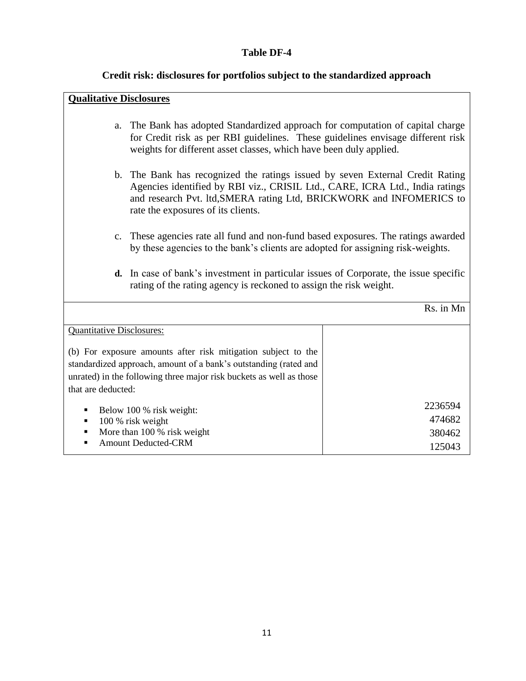#### **Table DF-4**

#### **Credit risk: disclosures for portfolios subject to the standardized approach**

#### **Qualitative Disclosures**

- a. The Bank has adopted Standardized approach for computation of capital charge for Credit risk as per RBI guidelines. These guidelines envisage different risk weights for different asset classes, which have been duly applied.
- b. The Bank has recognized the ratings issued by seven External Credit Rating Agencies identified by RBI viz., CRISIL Ltd., CARE, ICRA Ltd., India ratings and research Pvt. ltd,SMERA rating Ltd, BRICKWORK and INFOMERICS to rate the exposures of its clients.
- c. These agencies rate all fund and non-fund based exposures. The ratings awarded by these agencies to the bank's clients are adopted for assigning risk-weights.
- **d.** In case of bank's investment in particular issues of Corporate, the issue specific rating of the rating agency is reckoned to assign the risk weight.

|                                                                                                                                                                                                                                | Rs. in Mn                             |
|--------------------------------------------------------------------------------------------------------------------------------------------------------------------------------------------------------------------------------|---------------------------------------|
| <b>Quantitative Disclosures:</b>                                                                                                                                                                                               |                                       |
| (b) For exposure amounts after risk mitigation subject to the<br>standardized approach, amount of a bank's outstanding (rated and<br>unrated) in the following three major risk buckets as well as those<br>that are deducted: |                                       |
| Below 100 % risk weight:<br>100 % risk weight<br>More than 100 % risk weight<br>٠<br><b>Amount Deducted-CRM</b>                                                                                                                | 2236594<br>474682<br>380462<br>125043 |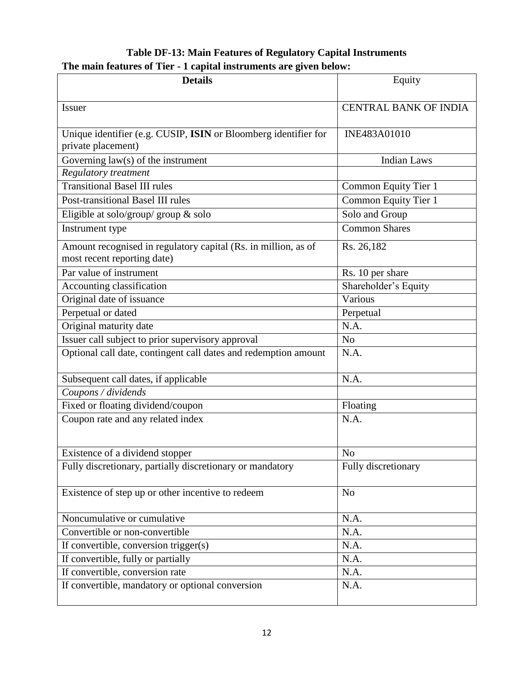## **Table DF-13: Main Features of Regulatory Capital Instruments The main features of Tier - 1 capital instruments are given below:**

| <b>Details</b>                                                                                | Equity                       |
|-----------------------------------------------------------------------------------------------|------------------------------|
| <b>Issuer</b>                                                                                 | <b>CENTRAL BANK OF INDIA</b> |
|                                                                                               |                              |
| Unique identifier (e.g. CUSIP, ISIN or Bloomberg identifier for                               | INE483A01010                 |
| private placement)                                                                            |                              |
| Governing $law(s)$ of the instrument                                                          | <b>Indian Laws</b>           |
| Regulatory treatment                                                                          |                              |
| <b>Transitional Basel III rules</b>                                                           | Common Equity Tier 1         |
| Post-transitional Basel III rules                                                             | Common Equity Tier 1         |
| Eligible at solo/group/ group $\&$ solo                                                       | Solo and Group               |
| Instrument type                                                                               | <b>Common Shares</b>         |
| Amount recognised in regulatory capital (Rs. in million, as of<br>most recent reporting date) | Rs. 26,182                   |
| Par value of instrument                                                                       |                              |
|                                                                                               | Rs. 10 per share             |
| Accounting classification                                                                     | Shareholder's Equity         |
| Original date of issuance                                                                     | Various                      |
| Perpetual or dated                                                                            | Perpetual                    |
| Original maturity date                                                                        | N.A.                         |
| Issuer call subject to prior supervisory approval                                             | N <sub>o</sub>               |
| Optional call date, contingent call dates and redemption amount                               | N.A.                         |
| Subsequent call dates, if applicable                                                          | N.A.                         |
| Coupons / dividends                                                                           |                              |
| Fixed or floating dividend/coupon                                                             | Floating                     |
| Coupon rate and any related index                                                             | N.A.                         |
|                                                                                               |                              |
| Existence of a dividend stopper                                                               | N <sub>o</sub>               |
| Fully discretionary, partially discretionary or mandatory                                     | Fully discretionary          |
| Existence of step up or other incentive to redeem                                             | N <sub>o</sub>               |
| Noncumulative or cumulative                                                                   | N.A.                         |
| Convertible or non-convertible                                                                | N.A.                         |
| If convertible, conversion trigger(s)                                                         | N.A.                         |
| If convertible, fully or partially                                                            | N.A.                         |
| If convertible, conversion rate                                                               | N.A.                         |
| If convertible, mandatory or optional conversion                                              | N.A.                         |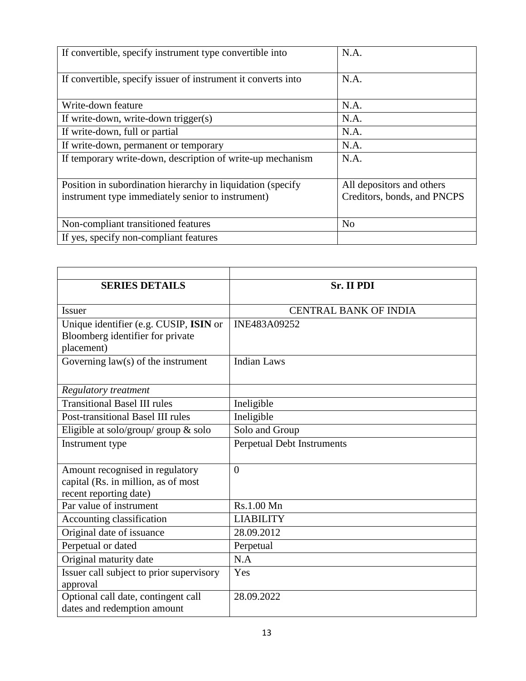| If convertible, specify instrument type convertible into      | N.A.                        |
|---------------------------------------------------------------|-----------------------------|
| If convertible, specify issuer of instrument it converts into | N.A.                        |
| Write-down feature                                            | N.A.                        |
| If write-down, write-down trigger(s)                          | N.A.                        |
| If write-down, full or partial                                | N.A.                        |
| If write-down, permanent or temporary                         | N.A.                        |
| If temporary write-down, description of write-up mechanism    | N.A.                        |
| Position in subordination hierarchy in liquidation (specify   | All depositors and others   |
| instrument type immediately senior to instrument)             | Creditors, bonds, and PNCPS |
| Non-compliant transitioned features                           | N <sub>0</sub>              |
| If yes, specify non-compliant features                        |                             |

| <b>SERIES DETAILS</b>                    | Sr. II PDI                   |
|------------------------------------------|------------------------------|
| <b>Issuer</b>                            | <b>CENTRAL BANK OF INDIA</b> |
|                                          |                              |
| Unique identifier (e.g. CUSIP, ISIN or   | INE483A09252                 |
| Bloomberg identifier for private         |                              |
| placement)                               |                              |
| Governing $law(s)$ of the instrument     | <b>Indian Laws</b>           |
|                                          |                              |
| Regulatory treatment                     |                              |
| <b>Transitional Basel III rules</b>      | Ineligible                   |
| Post-transitional Basel III rules        | Ineligible                   |
| Eligible at solo/group/ group $\&$ solo  | Solo and Group               |
| Instrument type                          | Perpetual Debt Instruments   |
|                                          |                              |
| Amount recognised in regulatory          | $\overline{0}$               |
| capital (Rs. in million, as of most      |                              |
| recent reporting date)                   |                              |
| Par value of instrument                  | Rs.1.00 Mn                   |
| Accounting classification                | <b>LIABILITY</b>             |
| Original date of issuance                | 28.09.2012                   |
| Perpetual or dated                       | Perpetual                    |
| Original maturity date                   | N.A                          |
| Issuer call subject to prior supervisory | Yes                          |
| approval                                 |                              |
| Optional call date, contingent call      | 28.09.2022                   |
| dates and redemption amount              |                              |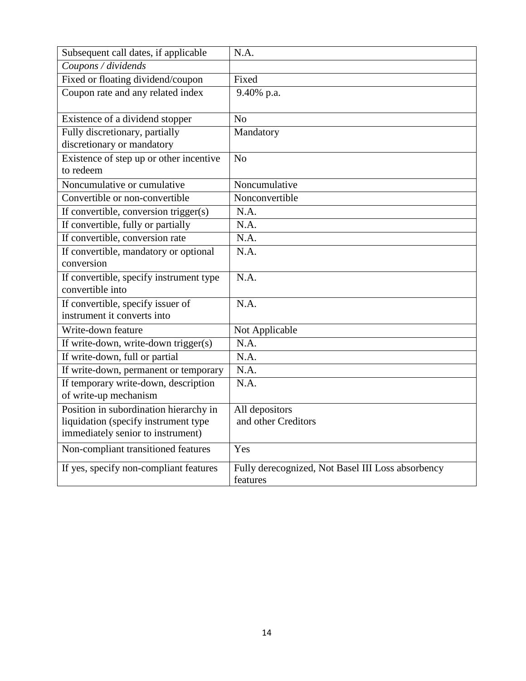| Subsequent call dates, if applicable    | N.A.                                              |
|-----------------------------------------|---------------------------------------------------|
| Coupons / dividends                     |                                                   |
| Fixed or floating dividend/coupon       | Fixed                                             |
| Coupon rate and any related index       | 9.40% p.a.                                        |
|                                         |                                                   |
| Existence of a dividend stopper         | No                                                |
| Fully discretionary, partially          | Mandatory                                         |
| discretionary or mandatory              |                                                   |
| Existence of step up or other incentive | N <sub>o</sub>                                    |
| to redeem                               |                                                   |
| Noncumulative or cumulative             | Noncumulative                                     |
| Convertible or non-convertible          | Nonconvertible                                    |
| If convertible, conversion trigger(s)   | N.A.                                              |
| If convertible, fully or partially      | N.A.                                              |
| If convertible, conversion rate         | N.A.                                              |
| If convertible, mandatory or optional   | N.A.                                              |
| conversion                              |                                                   |
| If convertible, specify instrument type | N.A.                                              |
| convertible into                        |                                                   |
| If convertible, specify issuer of       | N.A.                                              |
| instrument it converts into             |                                                   |
| Write-down feature                      | Not Applicable                                    |
| If write-down, write-down trigger(s)    | N.A.                                              |
| If write-down, full or partial          | N.A.                                              |
| If write-down, permanent or temporary   | N.A.                                              |
| If temporary write-down, description    | N.A.                                              |
| of write-up mechanism                   |                                                   |
| Position in subordination hierarchy in  | All depositors                                    |
| liquidation (specify instrument type    | and other Creditors                               |
| immediately senior to instrument)       |                                                   |
| Non-compliant transitioned features     | Yes                                               |
| If yes, specify non-compliant features  | Fully derecognized, Not Basel III Loss absorbency |
|                                         | features                                          |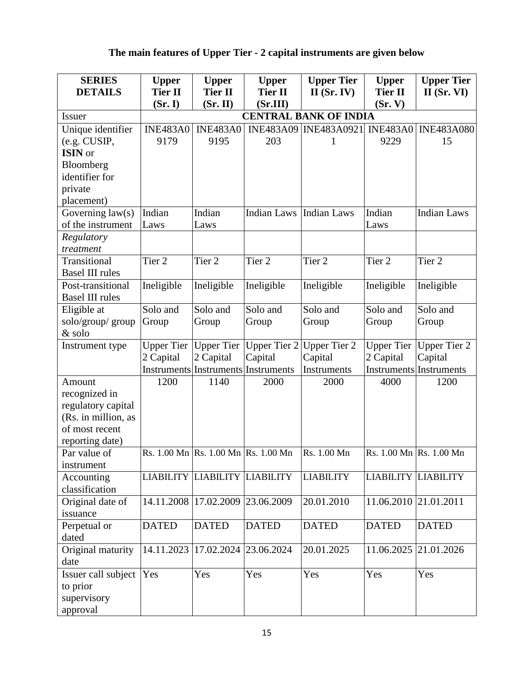# **The main features of Upper Tier - 2 capital instruments are given below**

| <b>SERIES</b>          | <b>Upper</b>      | <b>Upper</b>                        | <b>Upper</b>       | <b>Upper Tier</b>            | <b>Upper</b>          | <b>Upper Tier</b>              |
|------------------------|-------------------|-------------------------------------|--------------------|------------------------------|-----------------------|--------------------------------|
| <b>DETAILS</b>         | <b>Tier II</b>    | <b>Tier II</b>                      | <b>Tier II</b>     | $II$ (Sr. IV)                | <b>Tier II</b>        | $II$ (Sr. VI)                  |
|                        | (Sr, I)           | (Sr, II)                            | (Sr.III)           |                              | (Sr, V)               |                                |
| <b>Issuer</b>          |                   |                                     |                    | <b>CENTRAL BANK OF INDIA</b> |                       |                                |
| Unique identifier      | <b>INE483A0</b>   | <b>INE483A0</b>                     | <b>INE483A09</b>   | INE483A0921                  | <b>INE483A0</b>       | <b>INE483A080</b>              |
| (e.g. CUSIP,           | 9179              | 9195                                | 203                | 1                            | 9229                  | 15                             |
| ISIN or                |                   |                                     |                    |                              |                       |                                |
| Bloomberg              |                   |                                     |                    |                              |                       |                                |
| identifier for         |                   |                                     |                    |                              |                       |                                |
| private                |                   |                                     |                    |                              |                       |                                |
| placement)             |                   |                                     |                    |                              |                       |                                |
| Governing $law(s)$     | Indian            | Indian                              | <b>Indian Laws</b> | <b>Indian Laws</b>           | Indian                | <b>Indian Laws</b>             |
| of the instrument      | Laws              | Laws                                |                    |                              | Laws                  |                                |
| Regulatory             |                   |                                     |                    |                              |                       |                                |
| treatment              |                   |                                     |                    |                              |                       |                                |
| Transitional           | Tier <sub>2</sub> | Tier <sub>2</sub>                   | Tier <sub>2</sub>  | Tier <sub>2</sub>            | Tier <sub>2</sub>     | Tier <sub>2</sub>              |
| <b>Basel III rules</b> |                   |                                     |                    |                              |                       |                                |
| Post-transitional      | Ineligible        | Ineligible                          | Ineligible         | Ineligible                   | Ineligible            | Ineligible                     |
| <b>Basel III rules</b> |                   |                                     |                    |                              |                       |                                |
| Eligible at            | Solo and          | Solo and                            | Solo and           | Solo and                     | Solo and              | Solo and                       |
| solo/group/ group      | Group             | Group                               | Group              | Group                        | Group                 | Group                          |
| & solo                 |                   |                                     |                    |                              |                       |                                |
| Instrument type        | <b>Upper Tier</b> | <b>Upper Tier</b>                   | Upper Tier 2       | <b>Upper Tier 2</b>          | <b>Upper Tier</b>     | <b>Upper Tier 2</b>            |
|                        | 2 Capital         | 2 Capital                           | Capital            | Capital                      | 2 Capital             | Capital                        |
|                        |                   | Instruments Instruments Instruments |                    | Instruments                  |                       | <b>Instruments</b> Instruments |
| Amount                 | 1200              | 1140                                | 2000               | 2000                         | 4000                  | 1200                           |
| recognized in          |                   |                                     |                    |                              |                       |                                |
| regulatory capital     |                   |                                     |                    |                              |                       |                                |
| (Rs. in million, as    |                   |                                     |                    |                              |                       |                                |
| of most recent         |                   |                                     |                    |                              |                       |                                |
| reporting date)        |                   |                                     |                    |                              |                       |                                |
| Par value of           |                   | Rs. 1.00 Mn Rs. 1.00 Mn Rs. 1.00 Mn |                    | Rs. 1.00 Mn                  |                       | Rs. 1.00 Mn Rs. 1.00 Mn        |
| instrument             |                   |                                     |                    |                              |                       |                                |
| Accounting             |                   | LIABILITY LIABILITY LIABILITY       |                    | <b>LIABILITY</b>             |                       | LIABILITY LIABILITY            |
| classification         |                   |                                     |                    |                              |                       |                                |
| Original date of       | 14.11.2008        | 17.02.2009                          | 23.06.2009         | 20.01.2010                   | 11.06.2010 21.01.2011 |                                |
| issuance               |                   |                                     |                    |                              |                       |                                |
| Perpetual or           | <b>DATED</b>      | <b>DATED</b>                        | <b>DATED</b>       | <b>DATED</b>                 | <b>DATED</b>          | <b>DATED</b>                   |
| dated                  |                   |                                     |                    |                              |                       |                                |
| Original maturity      | 14.11.2023        | 17.02.2024                          | 23.06.2024         | 20.01.2025                   |                       | 11.06.2025 21.01.2026          |
| date                   |                   |                                     |                    |                              |                       |                                |
| Issuer call subject    | Yes               | Yes                                 | Yes                | Yes                          | Yes                   | Yes                            |
| to prior               |                   |                                     |                    |                              |                       |                                |
| supervisory            |                   |                                     |                    |                              |                       |                                |
| approval               |                   |                                     |                    |                              |                       |                                |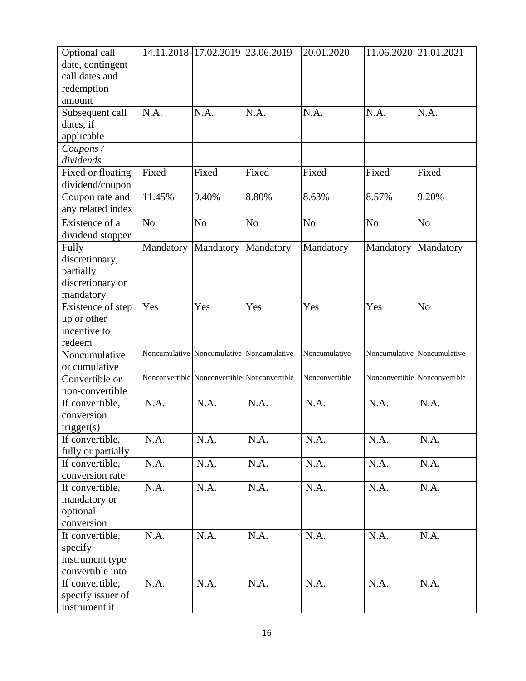| Optional call      |                | 14.11.2018 17.02.2019 23.06.2019 |                                              | 20.01.2020     | 11.06.2020 21.01.2021 |                               |
|--------------------|----------------|----------------------------------|----------------------------------------------|----------------|-----------------------|-------------------------------|
| date, contingent   |                |                                  |                                              |                |                       |                               |
| call dates and     |                |                                  |                                              |                |                       |                               |
| redemption         |                |                                  |                                              |                |                       |                               |
| amount             |                |                                  |                                              |                |                       |                               |
| Subsequent call    | N.A.           | N.A.                             | N.A.                                         | N.A.           | N.A.                  | N.A.                          |
| dates, if          |                |                                  |                                              |                |                       |                               |
| applicable         |                |                                  |                                              |                |                       |                               |
| Coupons /          |                |                                  |                                              |                |                       |                               |
| dividends          |                |                                  |                                              |                |                       |                               |
| Fixed or floating  | Fixed          | Fixed                            | Fixed                                        | Fixed          | Fixed                 | Fixed                         |
| dividend/coupon    |                |                                  |                                              |                |                       |                               |
| Coupon rate and    | 11.45%         | 9.40%                            | 8.80%                                        | 8.63%          | 8.57%                 | 9.20%                         |
| any related index  |                |                                  |                                              |                |                       |                               |
| Existence of a     | N <sub>o</sub> | N <sub>o</sub>                   | N <sub>o</sub>                               | N <sub>o</sub> | N <sub>o</sub>        | N <sub>o</sub>                |
| dividend stopper   |                |                                  |                                              |                |                       |                               |
| Fully              | Mandatory      | Mandatory                        | Mandatory                                    | Mandatory      | Mandatory             | Mandatory                     |
| discretionary,     |                |                                  |                                              |                |                       |                               |
| partially          |                |                                  |                                              |                |                       |                               |
| discretionary or   |                |                                  |                                              |                |                       |                               |
| mandatory          |                |                                  |                                              |                |                       |                               |
| Existence of step  | Yes            | Yes                              | Yes                                          | Yes            | Yes                   | N <sub>o</sub>                |
| up or other        |                |                                  |                                              |                |                       |                               |
| incentive to       |                |                                  |                                              |                |                       |                               |
| redeem             |                |                                  |                                              |                |                       |                               |
| Noncumulative      |                |                                  | Noncumulative Noncumulative Noncumulative    | Noncumulative  |                       | Noncumulative Noncumulative   |
| or cumulative      |                |                                  |                                              |                |                       |                               |
| Convertible or     |                |                                  | Nonconvertible Nonconvertible Nonconvertible | Nonconvertible |                       | Nonconvertible Nonconvertible |
| non-convertible    |                |                                  |                                              |                |                       |                               |
| If convertible,    | N.A.           | N.A.                             | N.A.                                         | N.A.           | N.A.                  | N.A.                          |
| conversion         |                |                                  |                                              |                |                       |                               |
| trigger(s)         |                |                                  |                                              |                |                       |                               |
| If convertible,    | N.A.           | N.A.                             | N.A.                                         | N.A.           | N.A.                  | N.A.                          |
| fully or partially |                |                                  |                                              |                |                       |                               |
| If convertible,    | N.A.           | N.A.                             | N.A.                                         | N.A.           | N.A.                  | N.A.                          |
| conversion rate    |                |                                  |                                              |                |                       |                               |
| If convertible,    | N.A.           | N.A.                             | N.A.                                         | N.A.           | N.A.                  | N.A.                          |
| mandatory or       |                |                                  |                                              |                |                       |                               |
| optional           |                |                                  |                                              |                |                       |                               |
| conversion         |                |                                  |                                              |                |                       |                               |
| If convertible,    | N.A.           | N.A.                             | N.A.                                         | N.A.           | N.A.                  | N.A.                          |
| specify            |                |                                  |                                              |                |                       |                               |
| instrument type    |                |                                  |                                              |                |                       |                               |
| convertible into   |                |                                  |                                              |                |                       |                               |
| If convertible,    | N.A.           | N.A.                             | N.A.                                         | N.A.           | N.A.                  | N.A.                          |
| specify issuer of  |                |                                  |                                              |                |                       |                               |
| instrument it      |                |                                  |                                              |                |                       |                               |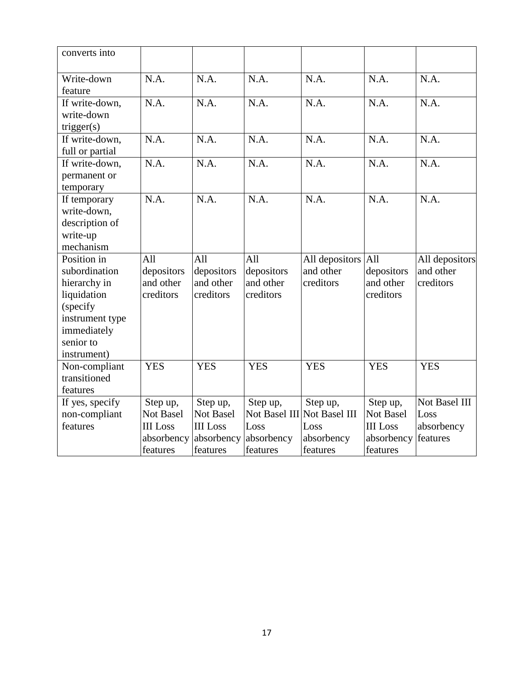| converts into   |                 |                  |            |                             |                  |                |
|-----------------|-----------------|------------------|------------|-----------------------------|------------------|----------------|
| Write-down      | N.A.            | N.A.             | N.A.       | N.A.                        | N.A.             | N.A.           |
| feature         |                 |                  |            |                             |                  |                |
| If write-down,  | N.A.            | N.A.             | N.A.       | N.A.                        | N.A.             | N.A.           |
| write-down      |                 |                  |            |                             |                  |                |
| trigger(s)      |                 |                  |            |                             |                  |                |
| If write-down,  | N.A.            | N.A.             | N.A.       | N.A.                        | N.A.             | N.A.           |
| full or partial |                 |                  |            |                             |                  |                |
| If write-down,  | N.A.            | N.A.             | N.A.       | N.A.                        | N.A.             | N.A.           |
| permanent or    |                 |                  |            |                             |                  |                |
| temporary       |                 |                  |            |                             |                  |                |
| If temporary    | N.A.            | N.A.             | N.A.       | N.A.                        | N.A.             | N.A.           |
| write-down,     |                 |                  |            |                             |                  |                |
| description of  |                 |                  |            |                             |                  |                |
| write-up        |                 |                  |            |                             |                  |                |
| mechanism       |                 |                  |            |                             |                  |                |
| Position in     | All             | All              | All        | All depositors              | All              | All depositors |
| subordination   | depositors      | depositors       | depositors | and other                   | depositors       | and other      |
| hierarchy in    | and other       | and other        | and other  | creditors                   | and other        | creditors      |
| liquidation     | creditors       | creditors        | creditors  |                             | creditors        |                |
| (specify        |                 |                  |            |                             |                  |                |
| instrument type |                 |                  |            |                             |                  |                |
| immediately     |                 |                  |            |                             |                  |                |
| senior to       |                 |                  |            |                             |                  |                |
| instrument)     |                 |                  |            |                             |                  |                |
| Non-compliant   | <b>YES</b>      | <b>YES</b>       | <b>YES</b> | <b>YES</b>                  | <b>YES</b>       | <b>YES</b>     |
| transitioned    |                 |                  |            |                             |                  |                |
| features        |                 |                  |            |                             |                  |                |
| If yes, specify | Step up,        | Step up,         | Step up,   | Step up,                    | Step up,         | Not Basel III  |
| non-compliant   | Not Basel       | <b>Not Basel</b> |            | Not Basel III Not Basel III | <b>Not Basel</b> | Loss           |
| features        | <b>III</b> Loss | <b>III</b> Loss  | Loss       | Loss                        | <b>III</b> Loss  | absorbency     |
|                 | absorbency      | absorbency       | absorbency | absorbency                  | absorbency       | features       |
|                 | features        | features         | features   | features                    | features         |                |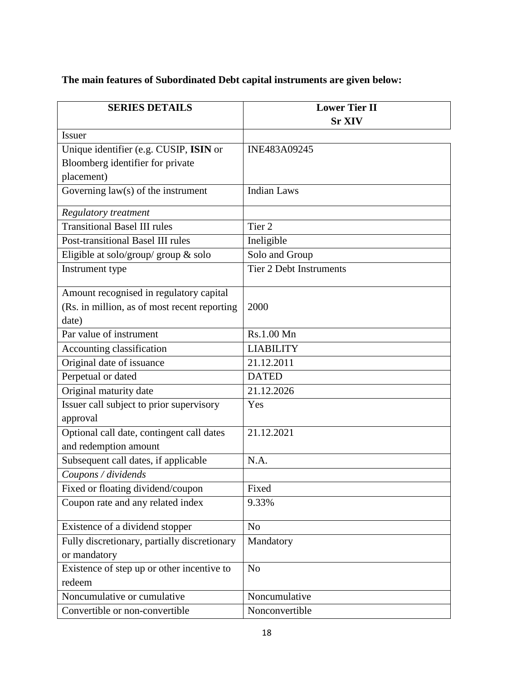# **The main features of Subordinated Debt capital instruments are given below:**

| <b>SERIES DETAILS</b>                                | <b>Lower Tier II</b>           |  |
|------------------------------------------------------|--------------------------------|--|
|                                                      | <b>Sr XIV</b>                  |  |
| <b>Issuer</b>                                        |                                |  |
| Unique identifier (e.g. CUSIP, ISIN or               | INE483A09245                   |  |
| Bloomberg identifier for private                     |                                |  |
| placement)                                           |                                |  |
| Governing $law(s)$ of the instrument                 | <b>Indian Laws</b>             |  |
| <b>Regulatory treatment</b>                          |                                |  |
| <b>Transitional Basel III rules</b>                  | Tier <sub>2</sub>              |  |
| Post-transitional Basel III rules                    | Ineligible                     |  |
| Eligible at solo/group/ group & solo                 | Solo and Group                 |  |
| Instrument type                                      | <b>Tier 2 Debt Instruments</b> |  |
| Amount recognised in regulatory capital              |                                |  |
| (Rs. in million, as of most recent reporting         | 2000                           |  |
| date)                                                |                                |  |
| Par value of instrument                              | Rs.1.00 Mn                     |  |
| Accounting classification                            | <b>LIABILITY</b>               |  |
| Original date of issuance                            | 21.12.2011                     |  |
| Perpetual or dated                                   | <b>DATED</b>                   |  |
| Original maturity date                               | 21.12.2026                     |  |
| Issuer call subject to prior supervisory<br>approval | Yes                            |  |
| Optional call date, contingent call dates            | 21.12.2021                     |  |
| and redemption amount                                |                                |  |
| Subsequent call dates, if applicable                 | N.A.                           |  |
| Coupons / dividends                                  |                                |  |
| Fixed or floating dividend/coupon                    | Fixed                          |  |
| Coupon rate and any related index                    | 9.33%                          |  |
| Existence of a dividend stopper                      | N <sub>o</sub>                 |  |
| Fully discretionary, partially discretionary         | Mandatory                      |  |
| or mandatory                                         |                                |  |
| Existence of step up or other incentive to           | N <sub>o</sub>                 |  |
| redeem                                               |                                |  |
| Noncumulative or cumulative                          | Noncumulative                  |  |
| Convertible or non-convertible                       | Nonconvertible                 |  |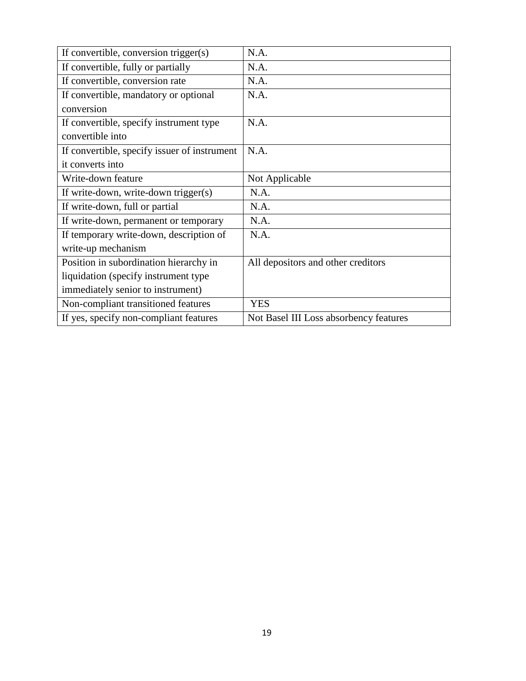| If convertible, conversion trigger(s)        | N.A.                                   |
|----------------------------------------------|----------------------------------------|
| If convertible, fully or partially           | N.A.                                   |
| If convertible, conversion rate              | N.A.                                   |
| If convertible, mandatory or optional        | N.A.                                   |
| conversion                                   |                                        |
| If convertible, specify instrument type      | N.A.                                   |
| convertible into                             |                                        |
| If convertible, specify issuer of instrument | N.A.                                   |
| it converts into                             |                                        |
| Write-down feature                           | Not Applicable                         |
| If write-down, write-down trigger(s)         | N.A.                                   |
| If write-down, full or partial               | N.A.                                   |
| If write-down, permanent or temporary        | N.A.                                   |
| If temporary write-down, description of      | N.A.                                   |
| write-up mechanism                           |                                        |
| Position in subordination hierarchy in       | All depositors and other creditors     |
| liquidation (specify instrument type)        |                                        |
| immediately senior to instrument)            |                                        |
| Non-compliant transitioned features          | <b>YES</b>                             |
| If yes, specify non-compliant features       | Not Basel III Loss absorbency features |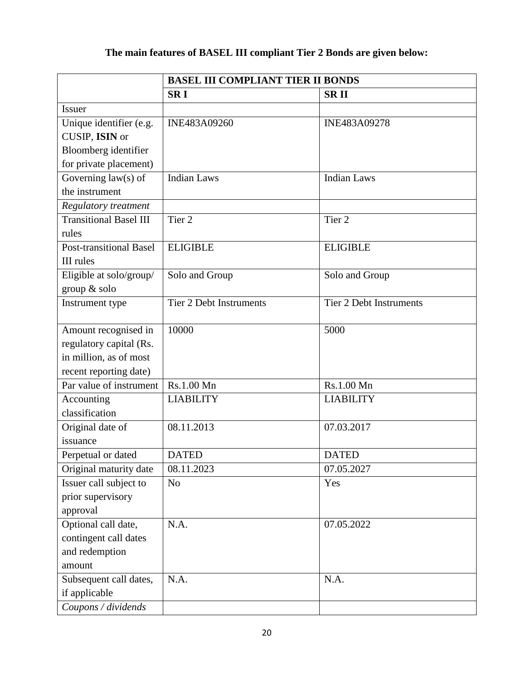# **The main features of BASEL III compliant Tier 2 Bonds are given below:**

|                               | <b>BASEL III COMPLIANT TIER II BONDS</b> |                                |  |  |
|-------------------------------|------------------------------------------|--------------------------------|--|--|
|                               | <b>SRI</b>                               | <b>SRII</b>                    |  |  |
| <b>Issuer</b>                 |                                          |                                |  |  |
| Unique identifier (e.g.       | INE483A09260                             | INE483A09278                   |  |  |
| CUSIP, ISIN or                |                                          |                                |  |  |
| Bloomberg identifier          |                                          |                                |  |  |
| for private placement)        |                                          |                                |  |  |
| Governing $law(s)$ of         | <b>Indian Laws</b>                       | <b>Indian Laws</b>             |  |  |
| the instrument                |                                          |                                |  |  |
| Regulatory treatment          |                                          |                                |  |  |
| <b>Transitional Basel III</b> | Tier <sub>2</sub>                        | Tier <sub>2</sub>              |  |  |
| rules                         |                                          |                                |  |  |
| Post-transitional Basel       | <b>ELIGIBLE</b>                          | <b>ELIGIBLE</b>                |  |  |
| <b>III</b> rules              |                                          |                                |  |  |
| Eligible at solo/group/       | Solo and Group                           | Solo and Group                 |  |  |
| group & solo                  |                                          |                                |  |  |
| Instrument type               | <b>Tier 2 Debt Instruments</b>           | <b>Tier 2 Debt Instruments</b> |  |  |
|                               |                                          |                                |  |  |
| Amount recognised in          | 10000                                    | 5000                           |  |  |
| regulatory capital (Rs.       |                                          |                                |  |  |
| in million, as of most        |                                          |                                |  |  |
| recent reporting date)        |                                          |                                |  |  |
| Par value of instrument       | Rs.1.00 Mn                               | Rs.1.00 Mn                     |  |  |
| Accounting                    | <b>LIABILITY</b>                         | <b>LIABILITY</b>               |  |  |
| classification                |                                          |                                |  |  |
| Original date of              | 08.11.2013                               | 07.03.2017                     |  |  |
| issuance                      |                                          |                                |  |  |
| Perpetual or dated            | <b>DATED</b>                             | <b>DATED</b>                   |  |  |
| Original maturity date        | 08.11.2023                               | 07.05.2027                     |  |  |
| Issuer call subject to        | N <sub>o</sub>                           | Yes                            |  |  |
| prior supervisory             |                                          |                                |  |  |
| approval                      |                                          |                                |  |  |
| Optional call date,           | N.A.                                     | 07.05.2022                     |  |  |
| contingent call dates         |                                          |                                |  |  |
| and redemption                |                                          |                                |  |  |
| amount                        |                                          |                                |  |  |
| Subsequent call dates,        | N.A.                                     | N.A.                           |  |  |
| if applicable                 |                                          |                                |  |  |
| Coupons / dividends           |                                          |                                |  |  |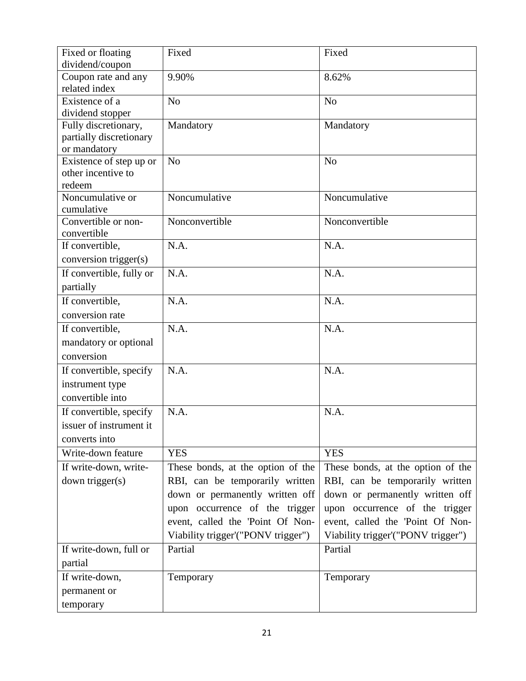| Fixed or floating<br>dividend/coupon | Fixed                              | Fixed                              |
|--------------------------------------|------------------------------------|------------------------------------|
| Coupon rate and any                  | 9.90%                              | 8.62%                              |
| related index                        |                                    |                                    |
| Existence of a                       | N <sub>o</sub>                     | N <sub>o</sub>                     |
| dividend stopper                     |                                    |                                    |
| Fully discretionary,                 | Mandatory                          | Mandatory                          |
| partially discretionary              |                                    |                                    |
| or mandatory                         |                                    |                                    |
| Existence of step up or              | No                                 | N <sub>o</sub>                     |
| other incentive to                   |                                    |                                    |
| redeem                               |                                    |                                    |
| Noncumulative or                     | Noncumulative                      | Noncumulative                      |
| cumulative                           |                                    |                                    |
| Convertible or non-<br>convertible   | Nonconvertible                     | Nonconvertible                     |
| If convertible,                      | N.A.                               | N.A.                               |
| conversion trigger(s)                |                                    |                                    |
| If convertible, fully or             | N.A.                               | N.A.                               |
| partially                            |                                    |                                    |
| If convertible,                      | N.A.                               | N.A.                               |
| conversion rate                      |                                    |                                    |
| If convertible,                      | N.A.                               | N.A.                               |
| mandatory or optional                |                                    |                                    |
| conversion                           |                                    |                                    |
| If convertible, specify              | N.A.                               | N.A.                               |
|                                      |                                    |                                    |
| instrument type<br>convertible into  |                                    |                                    |
|                                      |                                    |                                    |
| If convertible, specify              | N.A.                               | N.A.                               |
| issuer of instrument it              |                                    |                                    |
| converts into                        |                                    |                                    |
| Write-down feature                   | <b>YES</b>                         | <b>YES</b>                         |
| If write-down, write-                | These bonds, at the option of the  | These bonds, at the option of the  |
| down trigger(s)                      | RBI, can be temporarily written    | RBI, can be temporarily written    |
|                                      | down or permanently written off    | down or permanently written off    |
|                                      | upon occurrence of the trigger     | upon occurrence of the trigger     |
|                                      | event, called the 'Point Of Non-   | event, called the 'Point Of Non-   |
|                                      | Viability trigger'("PONV trigger") | Viability trigger'("PONV trigger") |
| If write-down, full or               | Partial                            | Partial                            |
| partial                              |                                    |                                    |
| If write-down,                       | Temporary                          | Temporary                          |
| permanent or                         |                                    |                                    |
| temporary                            |                                    |                                    |